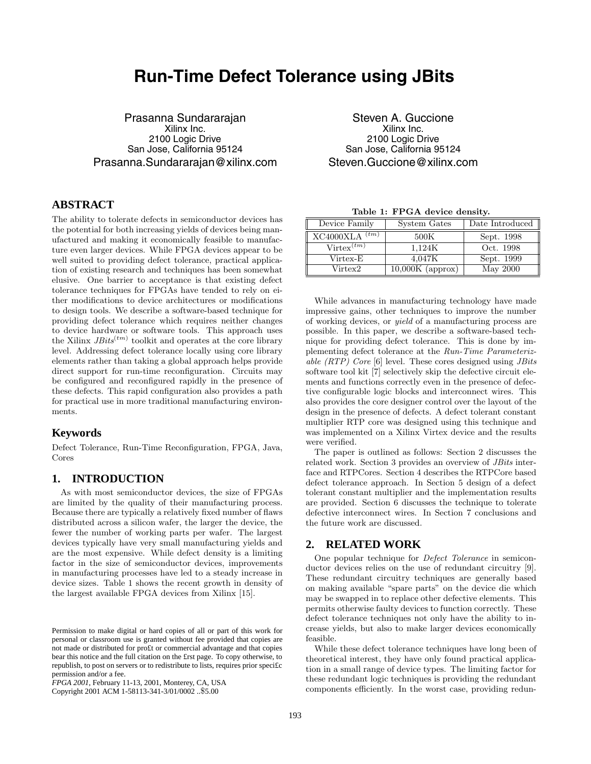# **Run-Time Defect Tolerance using JBits**

Prasanna Sundararajan Xilinx Inc. 2100 Logic Drive San Jose, California 95124 Prasanna.Sundararajan@xilinx.com

# **ABSTRACT**

The ability to tolerate defects in semiconductor devices has the potential for both increasing yields of devices being manufactured and making it economically feasible to manufacture even larger devices. While FPGA devices appear to be well suited to providing defect tolerance, practical application of existing research and techniques has been somewhat elusive. One barrier to acceptance is that existing defect tolerance techniques for FPGAs have tended to rely on either modifications to device architectures or modifications to design tools. We describe a software-based technique for providing defect tolerance which requires neither changes to device hardware or software tools. This approach uses the Xilinx  $JBits^{(tm)}$  toolkit and operates at the core library level. Addressing defect tolerance locally using core library elements rather than taking a global approach helps provide direct support for run-time reconfiguration. Circuits may be configured and reconfigured rapidly in the presence of these defects. This rapid configuration also provides a path for practical use in more traditional manufacturing environments.

### **Keywords**

Defect Tolerance, Run-Time Reconfiguration, FPGA, Java, Cores

### **1. INTRODUCTION**

As with most semiconductor devices, the size of FPGAs are limited by the quality of their manufacturing process. Because there are typically a relatively fixed number of flaws distributed across a silicon wafer, the larger the device, the fewer the number of working parts per wafer. The largest devices typically have very small manufacturing yields and are the most expensive. While defect density is a limiting factor in the size of semiconductor devices, improvements in manufacturing processes have led to a steady increase in device sizes. Table 1 shows the recent growth in density of the largest available FPGA devices from Xilinx[15].

Copyright 2001 ACM 1-58113-341-3/01/0002 ..\$5.00

Steven A. Guccione Xilinx Inc. 2100 Logic Drive San Jose, California 95124 Steven.Guccione@xilinx.com

Device Family System Gates | Date Introduced  $XC4000XLA$ <sup>(tm)</sup> 500K Sept. 1998  $Viftext{tr}(tm)$  1,124K Oct. 1998  $V$ irtex-E 4,047K Sept. 1999 Virtex2  $10,000K$  (approx) May 2000

While advances in manufacturing technology have made impressive gains, other techniques to improve the number of working devices, or *yield* of a manufacturing process are possible. In this paper, we describe a software-based technique for providing defect tolerance. This is done by implementing defect tolerance at the *Run-Time Parameterizable (RTP) Core* [6] level. These cores designed using *JBits* software tool kit [7] selectively skip the defective circuit elements and functions correctly even in the presence of defective configurable logic blocks and interconnect wires. This also provides the core designer control over the layout of the design in the presence of defects. A defect tolerant constant multiplier RTP core was designed using this technique and was implemented on a Xilinx Virtex device and the results were verified.

The paper is outlined as follows: Section 2 discusses the related work. Section 3 provides an overview of *JBits* interface and RTPCores. Section 4 describes the RTPCore based defect tolerance approach. In Section 5 design of a defect tolerant constant multiplier and the implementation results are provided. Section 6 discusses the technique to tolerate defective interconnect wires. In Section 7 conclusions and the future work are discussed.

#### **2. RELATED WORK**

One popular technique for *Defect Tolerance* in semiconductor devices relies on the use of redundant circuitry [9]. These redundant circuitry techniques are generally based on making available "spare parts" on the device die which may be swapped in to replace other defective elements. This permits otherwise faulty devices to function correctly. These defect tolerance techniques not only have the ability to increase yields, but also to make larger devices economically feasible.

While these defect tolerance techniques have long been of theoretical interest, they have only found practical application in a small range of device types. The limiting factor for these redundant logic techniques is providing the redundant components efficiently. In the worst case, providing redun-

**Table 1: FPGA device density.**

Permission to make digital or hard copies of all or part of this work for personal or classroom use is granted without fee provided that copies are not made or distributed for pro£t or commercial advantage and that copies bear this notice and the full citation on the £rst page. To copy otherwise, to republish, to post on servers or to redistribute to lists, requires prior speci£c permission and/or a fee.

*FPGA 2001,* February 11-13, 2001, Monterey, CA, USA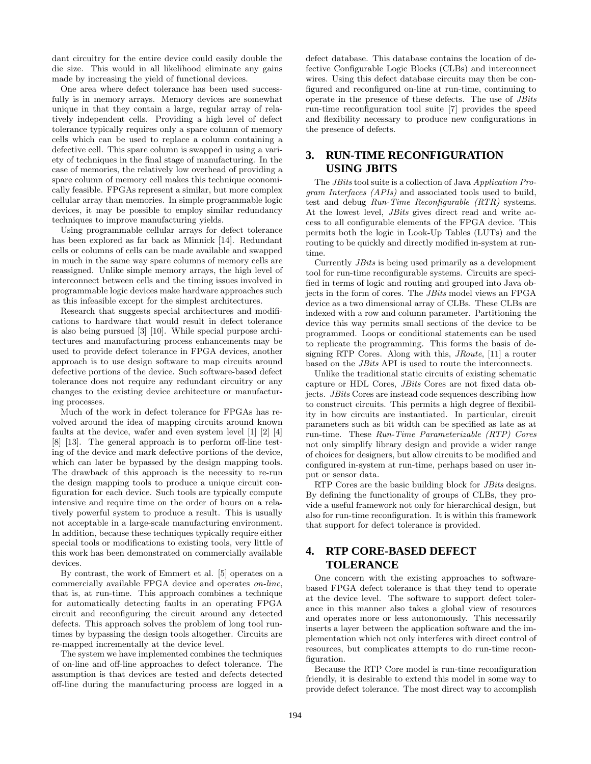dant circuitry for the entire device could easily double the die size. This would in all likelihood eliminate any gains made by increasing the yield of functional devices.

One area where defect tolerance has been used successfully is in memory arrays. Memory devices are somewhat unique in that they contain a large, regular array of relatively independent cells. Providing a high level of defect tolerance typically requires only a spare column of memory cells which can be used to replace a column containing a defective cell. This spare column is swapped in using a variety of techniques in the final stage of manufacturing. In the case of memories, the relatively low overhead of providing a spare column of memory cell makes this technique economically feasible. FPGAs represent a similar, but more complex cellular array than memories. In simple programmable logic devices, it may be possible to employ similar redundancy techniques to improve manufacturing yields.

Using programmable cellular arrays for defect tolerance has been explored as far back as Minnick [14]. Redundant cells or columns of cells can be made available and swapped in much in the same way spare columns of memory cells are reassigned. Unlike simple memory arrays, the high level of interconnect between cells and the timing issues involved in programmable logic devices make hardware approaches such as this infeasible except for the simplest architectures.

Research that suggests special architectures and modifications to hardware that would result in defect tolerance is also being pursued [3] [10]. While special purpose architectures and manufacturing process enhancements may be used to provide defect tolerance in FPGA devices, another approach is to use design software to map circuits around defective portions of the device. Such software-based defect tolerance does not require any redundant circuitry or any changes to the existing device architecture or manufacturing processes.

Much of the work in defect tolerance for FPGAs has revolved around the idea of mapping circuits around known faults at the device, wafer and even system level [1] [2] [4] [8] [13]. The general approach is to perform off-line testing of the device and mark defective portions of the device, which can later be bypassed by the design mapping tools. The drawback of this approach is the necessity to re-run the design mapping tools to produce a unique circuit configuration for each device. Such tools are typically compute intensive and require time on the order of hours on a relatively powerful system to produce a result. This is usually not acceptable in a large-scale manufacturing environment. In addition, because these techniques typically require either special tools or modifications to existing tools, very little of this work has been demonstrated on commercially available devices.

By contrast, the work of Emmert et al. [5] operates on a commercially available FPGA device and operates *on-line*, that is, at run-time. This approach combines a technique for automatically detecting faults in an operating FPGA circuit and reconfiguring the circuit around any detected defects. This approach solves the problem of long tool runtimes by bypassing the design tools altogether. Circuits are re-mapped incrementally at the device level.

The system we have implemented combines the techniques of on-line and off-line approaches to defect tolerance. The assumption is that devices are tested and defects detected off-line during the manufacturing process are logged in a

defect database. This database contains the location of defective Configurable Logic Blocks (CLBs) and interconnect wires. Using this defect database circuits may then be configured and reconfigured on-line at run-time, continuing to operate in the presence of these defects. The use of *JBits* run-time reconfiguration tool suite [7] provides the speed and flexibility necessary to produce new configurations in the presence of defects.

## **3. RUN-TIME RECONFIGURATION USING JBITS**

The *JBits* tool suite is a collection of Java *Application Program Interfaces (APIs)* and associated tools used to build, test and debug *Run-Time Reconfigurable (RTR)* systems. At the lowest level, *JBits* gives direct read and write access to all configurable elements of the FPGA device. This permits both the logic in Look-Up Tables (LUTs) and the routing to be quickly and directly modified in-system at runtime.

Currently *JBits* is being used primarily as a development tool for run-time reconfigurable systems. Circuits are specified in terms of logic and routing and grouped into Java objects in the form of cores. The *JBits* model views an FPGA device as a two dimensional array of CLBs. These CLBs are indexed with a row and column parameter. Partitioning the device this way permits small sections of the device to be programmed. Loops or conditional statements can be used to replicate the programming. This forms the basis of designing RTP Cores. Along with this, *JRoute*, [11] a router based on the *JBits* API is used to route the interconnects.

Unlike the traditional static circuits of existing schematic capture or HDL Cores, *JBits* Cores are not fixed data objects. *JBits* Cores are instead code sequences describing how to construct circuits. This permits a high degree of flexibility in how circuits are instantiated. In particular, circuit parameters such as bit width can be specified as late as at run-time. These *Run-Time Parameterizable (RTP) Cores* not only simplify library design and provide a wider range of choices for designers, but allow circuits to be modified and configured in-system at run-time, perhaps based on user input or sensor data.

RTP Cores are the basic building block for *JBits* designs. By defining the functionality of groups of CLBs, they provide a useful framework not only for hierarchical design, but also for run-time reconfiguration. It is within this framework that support for defect tolerance is provided.

# **4. RTP CORE-BASED DEFECT TOLERANCE**

One concern with the existing approaches to softwarebased FPGA defect tolerance is that they tend to operate at the device level. The software to support defect tolerance in this manner also takes a global view of resources and operates more or less autonomously. This necessarily inserts a layer between the application software and the implementation which not only interferes with direct control of resources, but complicates attempts to do run-time reconfiguration.

Because the RTP Core model is run-time reconfiguration friendly, it is desirable to extend this model in some way to provide defect tolerance. The most direct way to accomplish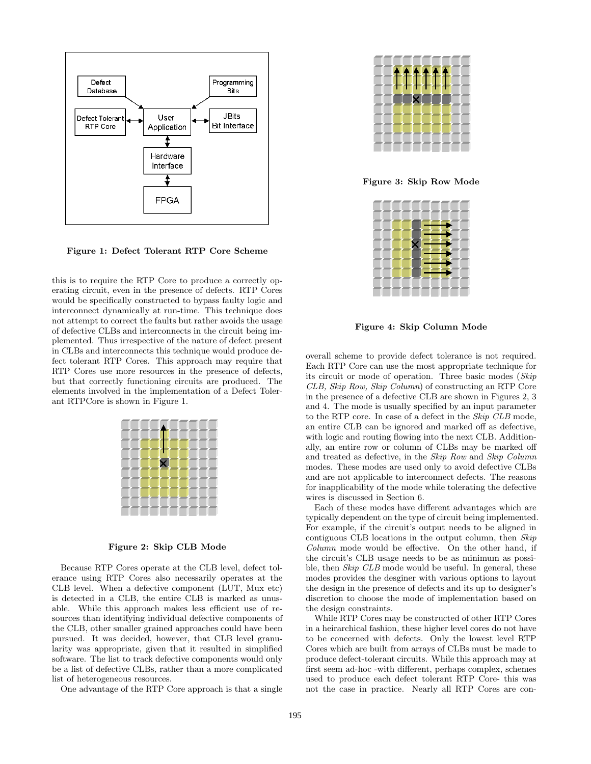

**Figure 1: Defect Tolerant RTP Core Scheme**

this is to require the RTP Core to produce a correctly operating circuit, even in the presence of defects. RTP Cores would be specifically constructed to bypass faulty logic and interconnect dynamically at run-time. This technique does not attempt to correct the faults but rather avoids the usage of defective CLBs and interconnects in the circuit being implemented. Thus irrespective of the nature of defect present in CLBs and interconnects this technique would produce defect tolerant RTP Cores. This approach may require that RTP Cores use more resources in the presence of defects, but that correctly functioning circuits are produced. The elements involved in the implementation of a Defect Tolerant RTPCore is shown in Figure 1.



**Figure 2: Skip CLB Mode**

Because RTP Cores operate at the CLB level, defect tolerance using RTP Cores also necessarily operates at the CLB level. When a defective component (LUT, Mux etc) is detected in a CLB, the entire CLB is marked as unusable. While this approach makes less efficient use of resources than identifying individual defective components of the CLB, other smaller grained approaches could have been pursued. It was decided, however, that CLB level granularity was appropriate, given that it resulted in simplified software. The list to track defective components would only be a list of defective CLBs, rather than a more complicated list of heterogeneous resources.

One advantage of the RTP Core approach is that a single



**Figure 3: Skip Row Mode**



**Figure 4: Skip Column Mode**

overall scheme to provide defect tolerance is not required. Each RTP Core can use the most appropriate technique for its circuit or mode of operation. Three basic modes (*Skip CLB, Skip Row, Skip Column*) of constructing an RTP Core in the presence of a defective CLB are shown in Figures 2, 3 and 4. The mode is usually specified by an input parameter to the RTP core. In case of a defect in the *Skip CLB* mode, an entire CLB can be ignored and marked off as defective, with logic and routing flowing into the next CLB. Additionally, an entire row or column of CLBs may be marked off and treated as defective, in the *Skip Row* and *Skip Column* modes. These modes are used only to avoid defective CLBs and are not applicable to interconnect defects. The reasons for inapplicability of the mode while tolerating the defective wires is discussed in Section 6.

Each of these modes have different advantages which are typically dependent on the type of circuit being implemented. For example, if the circuit's output needs to be aligned in contiguous CLB locations in the output column, then *Skip Column* mode would be effective. On the other hand, if the circuit's CLB usage needs to be as minimum as possible, then *Skip CLB* mode would be useful. In general, these modes provides the desginer with various options to layout the design in the presence of defects and its up to designer's discretion to choose the mode of implementation based on the design constraints.

While RTP Cores may be constructed of other RTP Cores in a heirarchical fashion, these higher level cores do not have to be concerned with defects. Only the lowest level RTP Cores which are built from arrays of CLBs must be made to produce defect-tolerant circuits. While this approach may at first seem ad-hoc -with different, perhaps complex, schemes used to produce each defect tolerant RTP Core- this was not the case in practice. Nearly all RTP Cores are con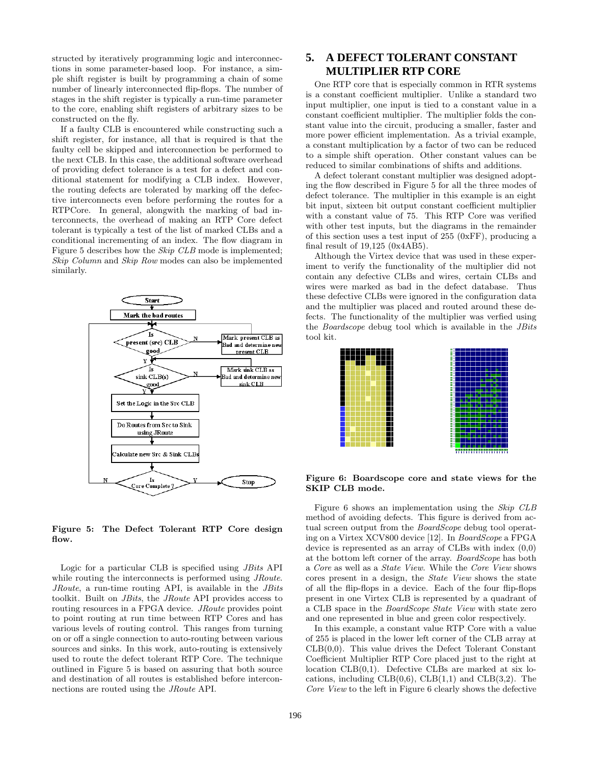structed by iteratively programming logic and interconnections in some parameter-based loop. For instance, a simple shift register is built by programming a chain of some number of linearly interconnected flip-flops. The number of stages in the shift register is typically a run-time parameter to the core, enabling shift registers of arbitrary sizes to be constructed on the fly.

If a faulty CLB is encountered while constructing such a shift register, for instance, all that is required is that the faulty cell be skipped and interconnection be performed to the next CLB. In this case, the additional software overhead of providing defect tolerance is a test for a defect and conditional statement for modifying a CLB index. However, the routing defects are tolerated by marking off the defective interconnects even before performing the routes for a RTPCore. In general, alongwith the marking of bad interconnects, the overhead of making an RTP Core defect tolerant is typically a test of the list of marked CLBs and a conditional incrementing of an index. The flow diagram in Figure 5 describes how the *Skip CLB* mode is implemented; *Skip Column* and *Skip Row* modes can also be implemented similarly.



**Figure 5: The Defect Tolerant RTP Core design flow.**

Logic for a particular CLB is specified using *JBits* API while routing the interconnects is performed using *JRoute*. *JRoute*, a run-time routing API, is available in the *JBits* toolkit. Built on *JBits*, the *JRoute* API provides access to routing resources in a FPGA device. *JRoute* provides point to point routing at run time between RTP Cores and has various levels of routing control. This ranges from turning on or off a single connection to auto-routing between various sources and sinks. In this work, auto-routing is extensively used to route the defect tolerant RTP Core. The technique outlined in Figure 5 is based on assuring that both source and destination of all routes is established before interconnections are routed using the *JRoute* API.

# **5. A DEFECT TOLERANT CONSTANT MULTIPLIER RTP CORE**

One RTP core that is especially common in RTR systems is a constant coefficient multiplier. Unlike a standard two input multiplier, one input is tied to a constant value in a constant coefficient multiplier. The multiplier folds the constant value into the circuit, producing a smaller, faster and more power efficient implementation. As a trivial example, a constant multiplication by a factor of two can be reduced to a simple shift operation. Other constant values can be reduced to similar combinations of shifts and additions.

A defect tolerant constant multiplier was designed adopting the flow described in Figure 5 for all the three modes of defect tolerance. The multiplier in this example is an eight bit input, sixteen bit output constant coefficient multiplier with a constant value of 75. This RTP Core was verified with other test inputs, but the diagrams in the remainder of this section uses a test input of 255 (0xFF), producing a final result of 19,125 (0x4AB5).

Although the Virtex device that was used in these experiment to verify the functionality of the multiplier did not contain any defective CLBs and wires, certain CLBs and wires were marked as bad in the defect database. Thus these defective CLBs were ignored in the configuration data and the multiplier was placed and routed around these defects. The functionality of the multiplier was verfied using the *Boardscope* debug tool which is available in the *JBits* tool kit.



**Figure 6: Boardscope core and state views for the SKIP CLB mode.**

Figure 6 shows an implementation using the *Skip CLB* method of avoiding defects. This figure is derived from actual screen output from the *BoardScope* debug tool operating on a VirtexXCV800 device [12]. In *BoardScope* a FPGA device is represented as an array of CLBs with index  $(0,0)$ at the bottom left corner of the array. *BoardScope* has both a *Core* as well as a *State View*. While the *Core View* shows cores present in a design, the *State View* shows the state of all the flip-flops in a device. Each of the four flip-flops present in one VirtexCLB is represented by a quadrant of a CLB space in the *BoardScope State View* with state zero and one represented in blue and green color respectively.

In this example, a constant value RTP Core with a value of 255 is placed in the lower left corner of the CLB array at CLB(0,0). This value drives the Defect Tolerant Constant Coefficient Multiplier RTP Core placed just to the right at location  $CLB(0,1)$ . Defective CLBs are marked at six locations, including  $CLB(0,6)$ ,  $CLB(1,1)$  and  $CLB(3,2)$ . The *Core View* to the left in Figure 6 clearly shows the defective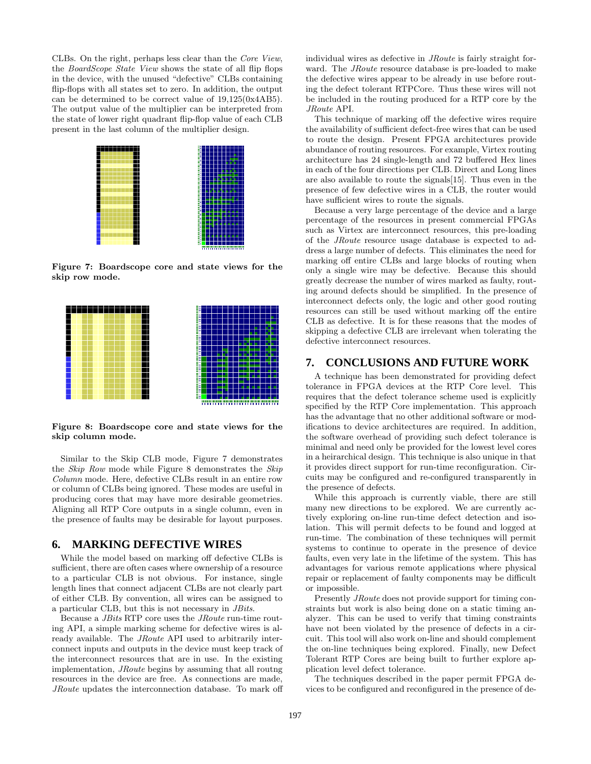CLBs. On the right, perhaps less clear than the *Core View*, the *BoardScope State View* shows the state of all flip flops in the device, with the unused "defective" CLBs containing flip-flops with all states set to zero. In addition, the output can be determined to be correct value of 19,125(0x4AB5). The output value of the multiplier can be interpreted from the state of lower right quadrant flip-flop value of each CLB present in the last column of the multiplier design.



**Figure 7: Boardscope core and state views for the skip row mode.**



**Figure 8: Boardscope core and state views for the skip column mode.**

Similar to the Skip CLB mode, Figure 7 demonstrates the *Skip Row* mode while Figure 8 demonstrates the *Skip Column* mode. Here, defective CLBs result in an entire row or column of CLBs being ignored. These modes are useful in producing cores that may have more desirable geometries. Aligning all RTP Core outputs in a single column, even in the presence of faults may be desirable for layout purposes.

### **6. MARKING DEFECTIVE WIRES**

While the model based on marking off defective CLBs is sufficient, there are often cases where ownership of a resource to a particular CLB is not obvious. For instance, single length lines that connect adjacent CLBs are not clearly part of either CLB. By convention, all wires can be assigned to a particular CLB, but this is not necessary in *JBits*.

Because a *JBits* RTP core uses the *JRoute* run-time routing API, a simple marking scheme for defective wires is already available. The *JRoute* API used to arbitrarily interconnect inputs and outputs in the device must keep track of the interconnect resources that are in use. In the existing implementation, *JRoute* begins by assuming that all routng resources in the device are free. As connections are made, *JRoute* updates the interconnection database. To mark off individual wires as defective in *JRoute* is fairly straight forward. The *JRoute* resource database is pre-loaded to make the defective wires appear to be already in use before routing the defect tolerant RTPCore. Thus these wires will not be included in the routing produced for a RTP core by the *JRoute* API.

This technique of marking off the defective wires require the availability of sufficient defect-free wires that can be used to route the design. Present FPGA architectures provide abundance of routing resources. For example, Virtex routing architecture has 24 single-length and 72 buffered Hex lines in each of the four directions per CLB. Direct and Long lines are also available to route the signals[15]. Thus even in the presence of few defective wires in a CLB, the router would have sufficient wires to route the signals.

Because a very large percentage of the device and a large percentage of the resources in present commercial FPGAs such as Virtex are interconnect resources, this pre-loading of the *JRoute* resource usage database is expected to address a large number of defects. This eliminates the need for marking off entire CLBs and large blocks of routing when only a single wire may be defective. Because this should greatly decrease the number of wires marked as faulty, routing around defects should be simplified. In the presence of interconnect defects only, the logic and other good routing resources can still be used without marking off the entire CLB as defective. It is for these reasons that the modes of skipping a defective CLB are irrelevant when tolerating the defective interconnect resources.

### **7. CONCLUSIONS AND FUTURE WORK**

A technique has been demonstrated for providing defect tolerance in FPGA devices at the RTP Core level. This requires that the defect tolerance scheme used is explicitly specified by the RTP Core implementation. This approach has the advantage that no other additional software or modifications to device architectures are required. In addition, the software overhead of providing such defect tolerance is minimal and need only be provided for the lowest level cores in a heirarchical design. This technique is also unique in that it provides direct support for run-time reconfiguration. Circuits may be configured and re-configured transparently in the presence of defects.

While this approach is currently viable, there are still many new directions to be explored. We are currently actively exploring on-line run-time defect detection and isolation. This will permit defects to be found and logged at run-time. The combination of these techniques will permit systems to continue to operate in the presence of device faults, even very late in the lifetime of the system. This has advantages for various remote applications where physical repair or replacement of faulty components may be difficult or impossible.

Presently *JRoute* does not provide support for timing constraints but work is also being done on a static timing analyzer. This can be used to verify that timing constraints have not been violated by the presence of defects in a circuit. This tool will also work on-line and should complement the on-line techniques being explored. Finally, new Defect Tolerant RTP Cores are being built to further explore application level defect tolerance.

The techniques described in the paper permit FPGA devices to be configured and reconfigured in the presence of de